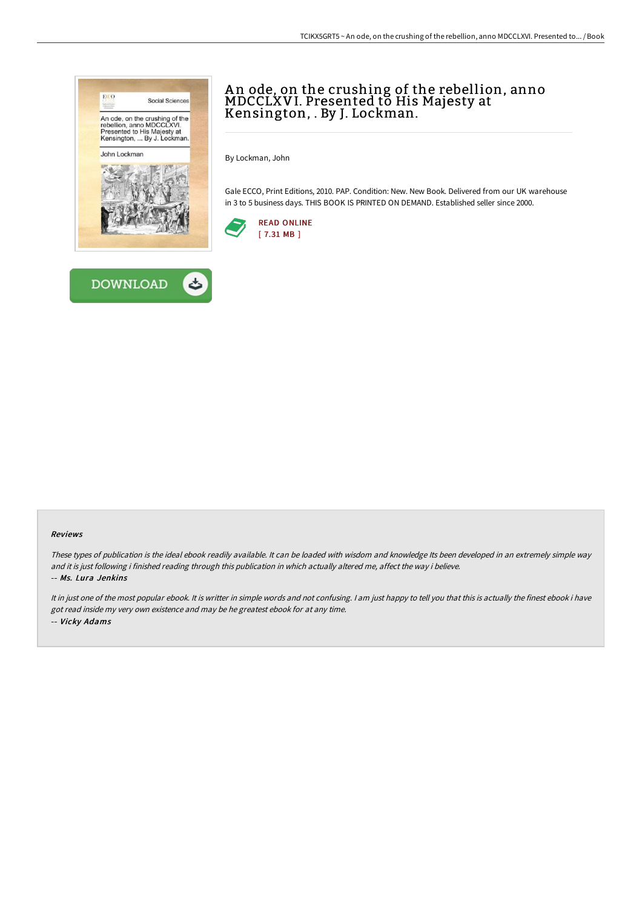



# A n ode, on the crushing of the rebellion, anno MDCCLXVI. Presented to His Majesty at Kensington, . By J. Lockman.

By Lockman, John

Gale ECCO, Print Editions, 2010. PAP. Condition: New. New Book. Delivered from our UK warehouse in 3 to 5 business days. THIS BOOK IS PRINTED ON DEMAND. Established seller since 2000.



#### Reviews

These types of publication is the ideal ebook readily available. It can be loaded with wisdom and knowledge Its been developed in an extremely simple way and it is just following i finished reading through this publication in which actually altered me, affect the way i believe. -- Ms. Lura Jenkins

It in just one of the most popular ebook. It is writter in simple words and not confusing. <sup>I</sup> am just happy to tell you that this is actually the finest ebook i have got read inside my very own existence and may be he greatest ebook for at any time. -- Vicky Adams